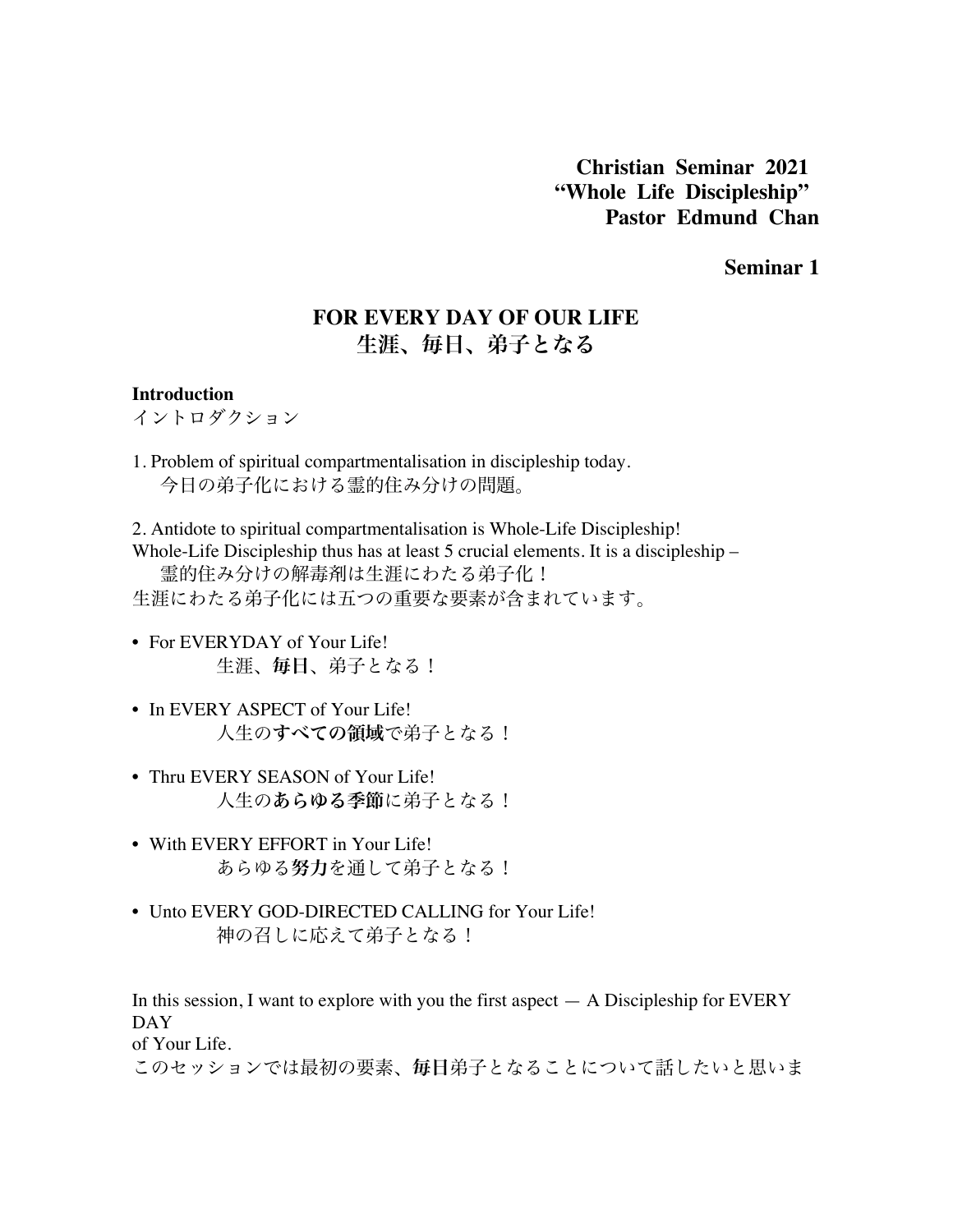**Christian Seminar 2021 "Whole Life Discipleship" Pastor Edmund Chan**

**Seminar 1**

# **FOR EVERY DAY OF OUR LIFE** 生涯、毎日、弟子となる

#### **Introduction**

イントロダクション

1. Problem of spiritual compartmentalisation in discipleship today. 今日の弟子化における霊的住み分けの問題。

2. Antidote to spiritual compartmentalisation is Whole-Life Discipleship! Whole-Life Discipleship thus has at least 5 crucial elements. It is a discipleship – 霊的住み分けの解毒剤は生涯にわたる弟子化! 生涯にわたる弟子化には五つの重要な要素が含まれています。

- For EVERYDAY of Your Life! 生涯、毎日、弟子となる!
- In EVERY ASPECT of Your Life! 人生のすべての領域で弟子となる!
- Thru EVERY SEASON of Your Life! 人生のあらゆる季節に弟子となる!
- With EVERY EFFORT in Your Life! あらゆる努力を通して弟子となる!
- Unto EVERY GOD-DIRECTED CALLING for Your Life! 神の召しに応えて弟子となる!

In this session, I want to explore with you the first aspect  $-$  A Discipleship for EVERY DAY

of Your Life.

このセッションでは最初の要素、毎日弟子となることについて話したいと思いま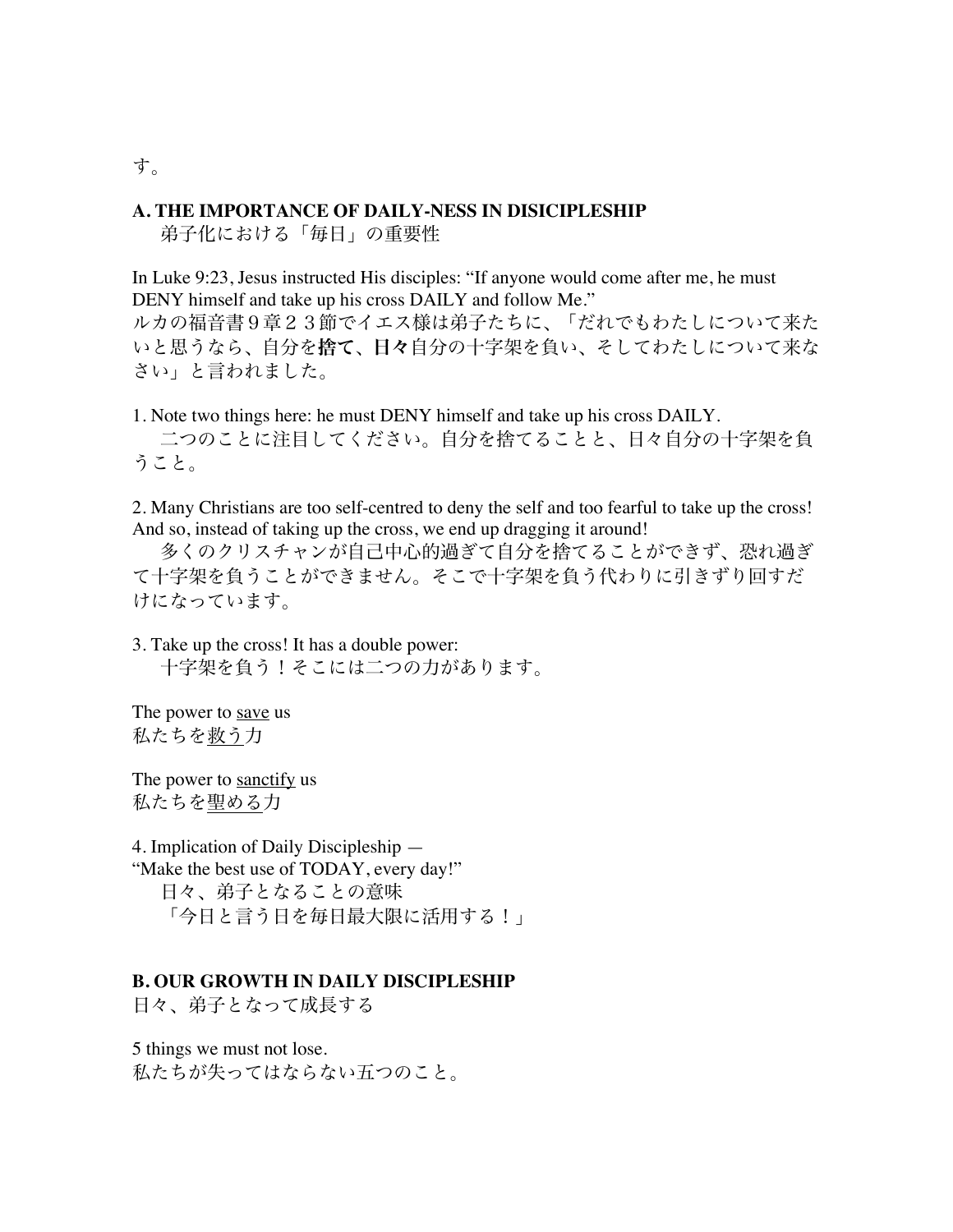#### **A. THE IMPORTANCE OF DAILY-NESS IN DISICIPLESHIP**

弟子化における「毎日」の重要性

In Luke 9:23, Jesus instructed His disciples: "If anyone would come after me, he must DENY himself and take up his cross DAILY and follow Me." ルカの福音書9章23節でイエス様は弟子たちに、「だれでもわたしについて来た いと思うなら、自分を捨て、日々自分の十字架を負い、そしてわたしについて来な さい」と言われました。

1. Note two things here: he must DENY himself and take up his cross DAILY. 二つのことに注目してください。自分を捨てることと、日々自分の十字架を負 うこと。

2. Many Christians are too self-centred to deny the self and too fearful to take up the cross! And so, instead of taking up the cross, we end up dragging it around!

多くのクリスチャンが自己中心的過ぎて自分を捨てることができず、恐れ過ぎ て十字架を負うことができません。そこで十字架を負う代わりに引きずり回すだ けになっています。

3. Take up the cross! It has a double power: 十字架を負う!そこには二つの力があります。

The power to save us 私たちを救う力

The power to sanctify us 私たちを聖める力

4. Implication of Daily Discipleship — "Make the best use of TODAY, every day!" 日々、弟子となることの意味 「今日と言う日を毎日最大限に活用する!」

#### **B. OUR GROWTH IN DAILY DISCIPLESHIP**

日々、弟子となって成長する

5 things we must not lose. 私たちが失ってはならない五つのこと。

す。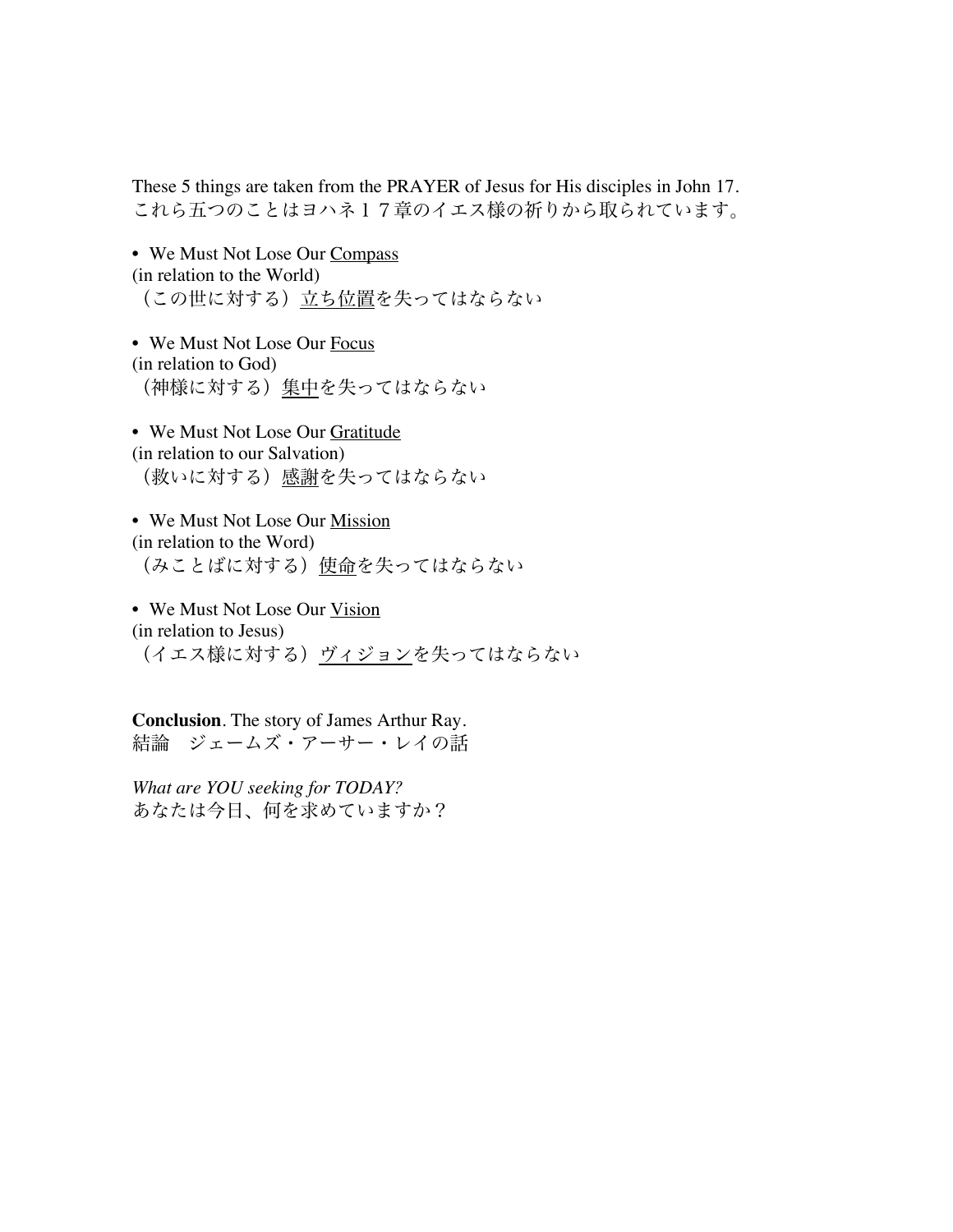These 5 things are taken from the PRAYER of Jesus for His disciples in John 17. これら五つのことはヨハネ17章のイエス様の祈りから取られています。

• We Must Not Lose Our Compass (in relation to the World) (この世に対する)立ち位置を失ってはならない

• We Must Not Lose Our Focus (in relation to God) (神様に対する)集中を失ってはならない

• We Must Not Lose Our Gratitude (in relation to our Salvation) (救いに対する)感謝を失ってはならない

• We Must Not Lose Our Mission (in relation to the Word) (みことばに対する)使命を失ってはならない

• We Must Not Lose Our Vision (in relation to Jesus) (イエス様に対する)ヴィジョンを失ってはならない

**Conclusion**. The story of James Arthur Ray. 結論 ジェームズ・アーサー・レイの話

*What are YOU seeking for TODAY?* あなたは今日、何を求めていますか?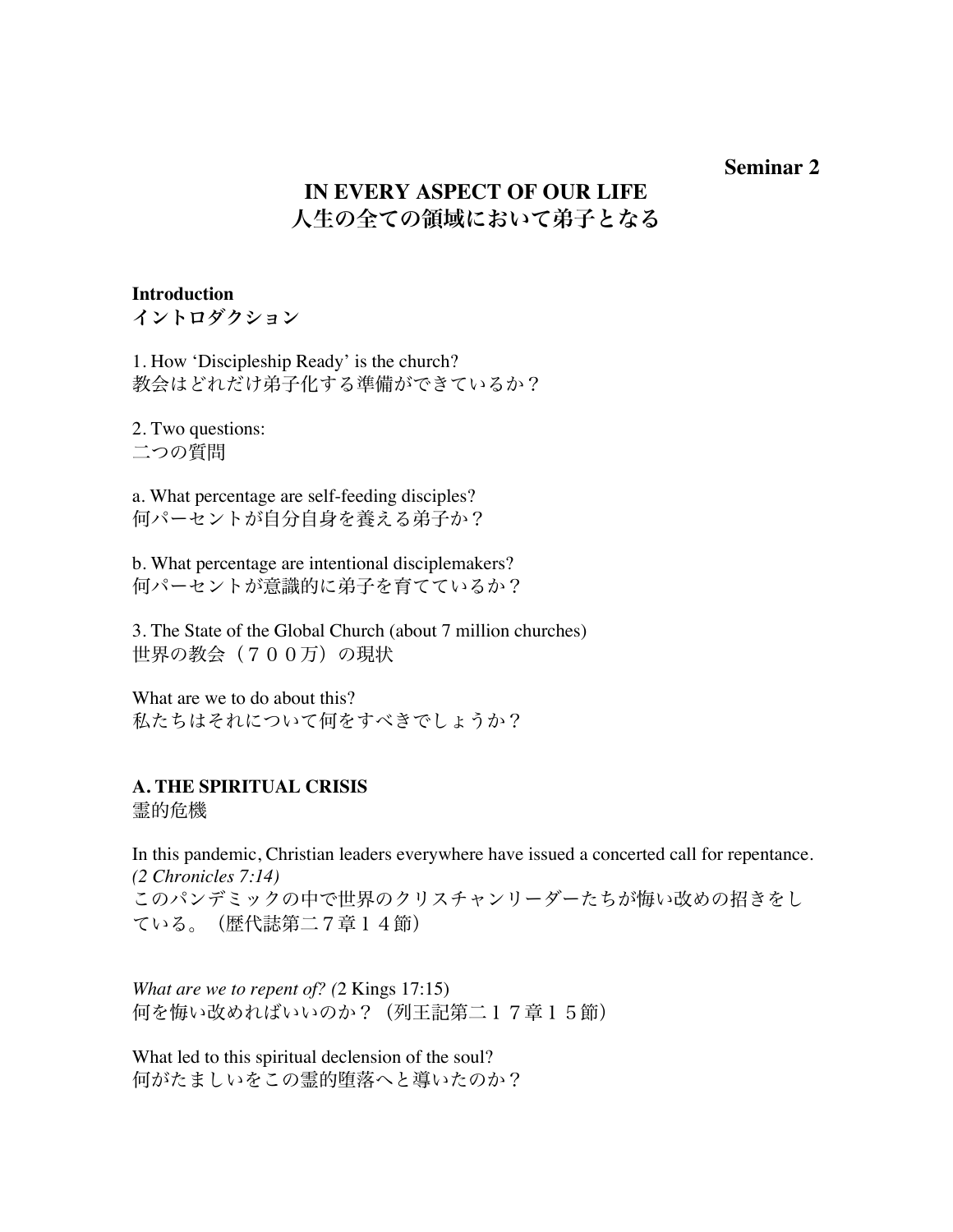## **Seminar 2**

# **IN EVERY ASPECT OF OUR LIFE** 人生の全ての領域において弟子となる

## **Introduction**

イントロダクション

1. How 'Discipleship Ready' is the church? 教会はどれだけ弟子化する準備ができているか?

2. Two questions: 二つの質問

a. What percentage are self-feeding disciples? 何パーセントが自分自身を養える弟子か?

b. What percentage are intentional disciplemakers? 何パーセントが意識的に弟子を育てているか?

3. The State of the Global Church (about 7 million churches) 世界の教会 (700万)の現状

What are we to do about this? 私たちはそれについて何をすべきでしょうか?

## **A. THE SPIRITUAL CRISIS**

霊的危機

In this pandemic, Christian leaders everywhere have issued a concerted call for repentance. *(2 Chronicles 7:14)* このパンデミックの中で世界のクリスチャンリーダーたちが悔い改めの招きをし ている。(歴代誌第二7章14節)

*What are we to repent of? (*2 Kings 17:15) 何を悔い改めればいいのか?(列王記第二17章15節)

What led to this spiritual declension of the soul? 何がたましいをこの霊的堕落へと導いたのか?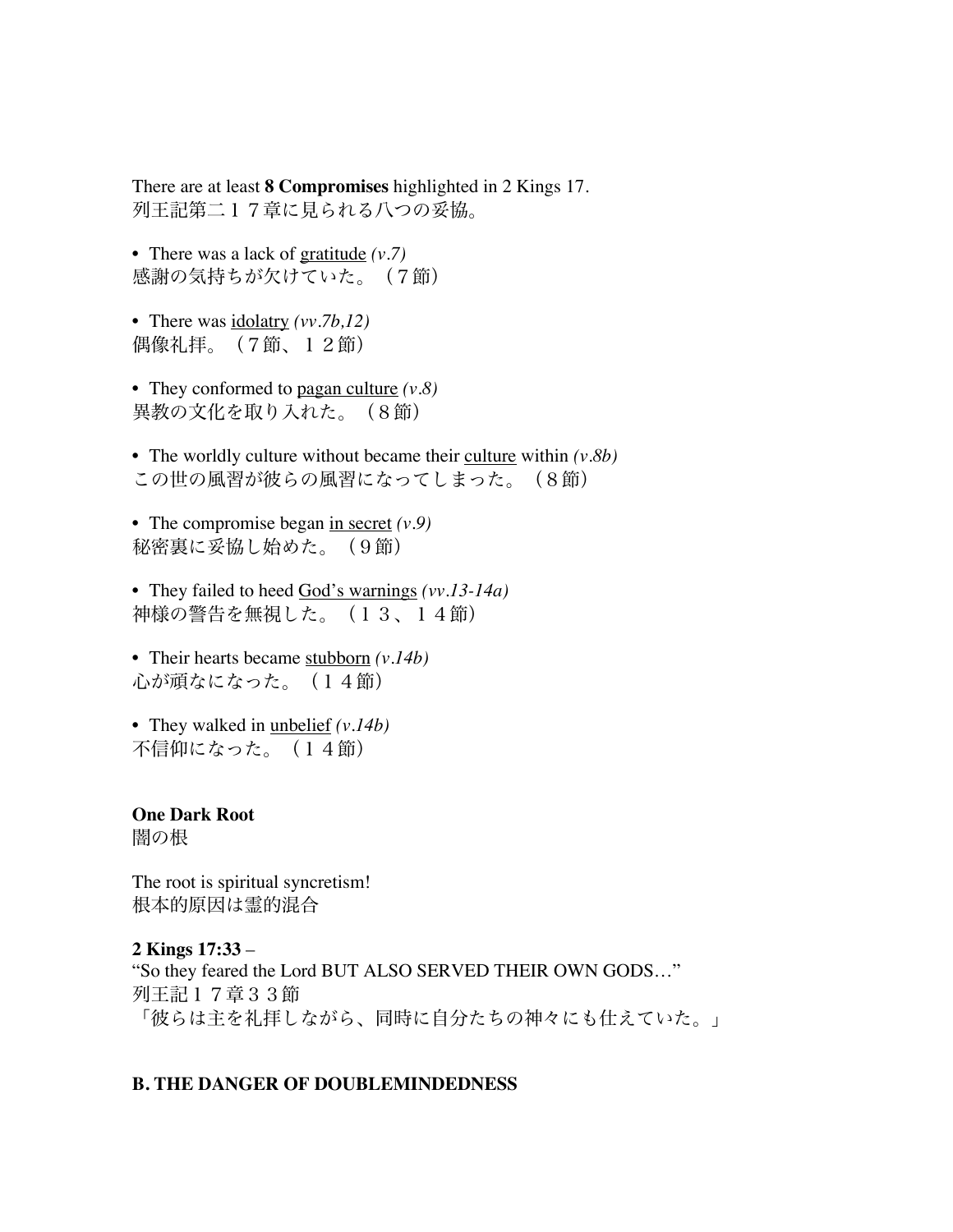There are at least **8 Compromises** highlighted in 2 Kings 17. 列王記第二17章に見られる八つの妥協。

• There was a lack of gratitude *(v.7)* 感謝の気持ちが欠けていた。(7節)

• There was idolatry *(vv.7b,12)* 偶像礼拝。(7節、12節)

• They conformed to pagan culture *(v.8)* 異教の文化を取り入れた。(8節)

• The worldly culture without became their culture within *(v.8b)* この世の風習が彼らの風習になってしまった。(8節)

• The compromise began in secret *(v.9)* 秘密裏に妥協し始めた。(9節)

• They failed to heed God's warnings *(vv.13-14a)* 神様の警告を無視した。(13、14節)

• Their hearts became stubborn *(v.14b)* 心が頑なになった。(14節)

• They walked in unbelief *(v.14b)* 不信仰になった。(14節)

**One Dark Root**  闇の根

The root is spiritual syncretism! 根本的原因は霊的混合

**2 Kings 17:33** – "So they feared the Lord BUT ALSO SERVED THEIR OWN GODS…" 列王記17章33節 「彼らは主を礼拝しながら、同時に自分たちの神々にも仕えていた。」

#### **B. THE DANGER OF DOUBLEMINDEDNESS**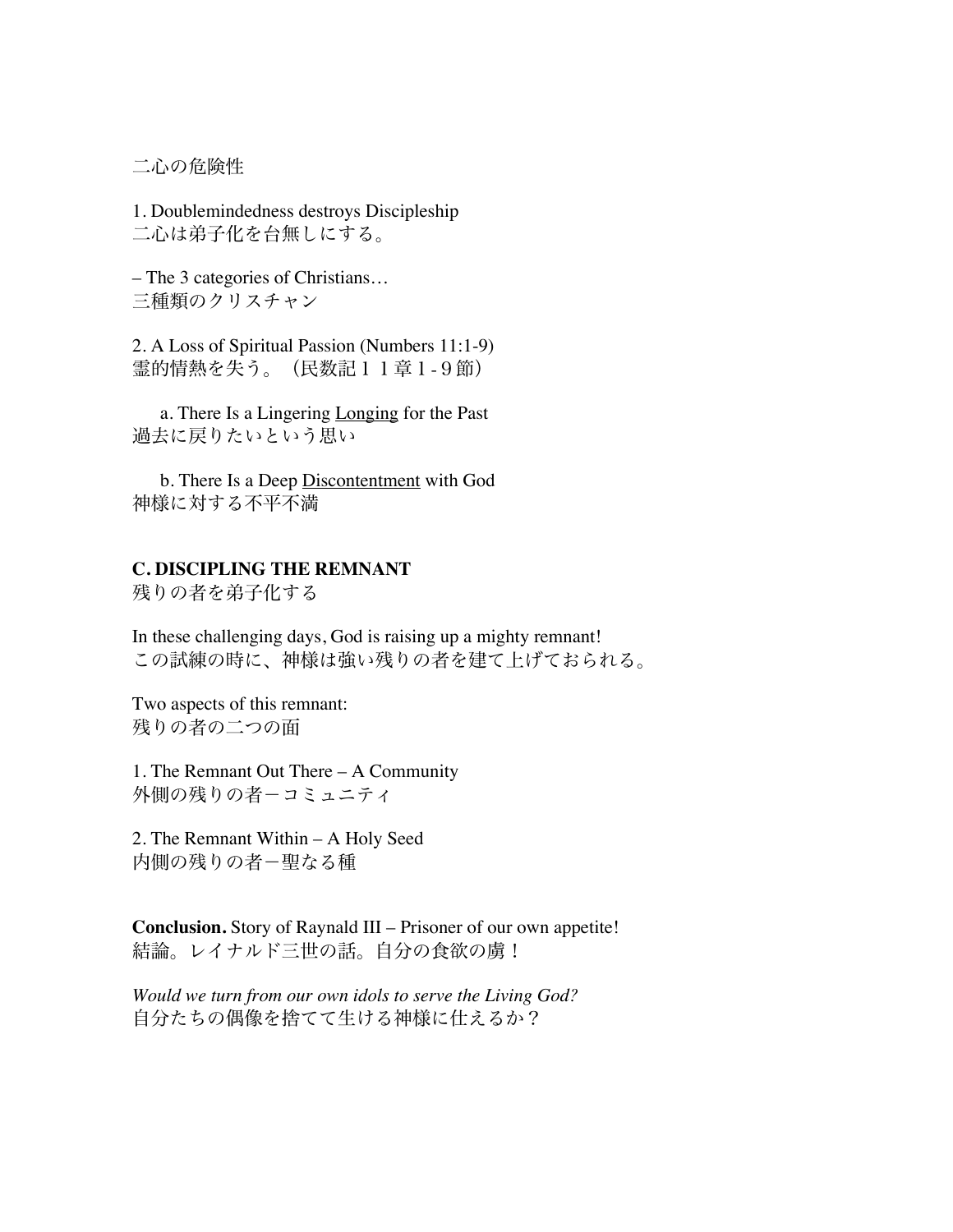二心の危険性

1. Doublemindedness destroys Discipleship 二心は弟子化を台無しにする。

– The 3 categories of Christians… 三種類のクリスチャン

2. A Loss of Spiritual Passion (Numbers 11:1-9) 霊的情熱を失う。(民数記11章1-9節)

a. There Is a Lingering Longing for the Past 過去に戻りたいという思い

b. There Is a Deep Discontentment with God 神様に対する不平不満

## **C. DISCIPLING THE REMNANT**

残りの者を弟子化する

In these challenging days, God is raising up a mighty remnant! この試練の時に、神様は強い残りの者を建て上げておられる。

Two aspects of this remnant: 残りの者の二つの面

1. The Remnant Out There – A Community 外側の残りの者-コミュニティ

2. The Remnant Within – A Holy Seed 内側の残りの者-聖なる種

**Conclusion.** Story of Raynald III – Prisoner of our own appetite! 結論。レイナルド三世の話。自分の食欲の虜!

*Would we turn from our own idols to serve the Living God?* 自分たちの偶像を捨てて生ける神様に仕えるか?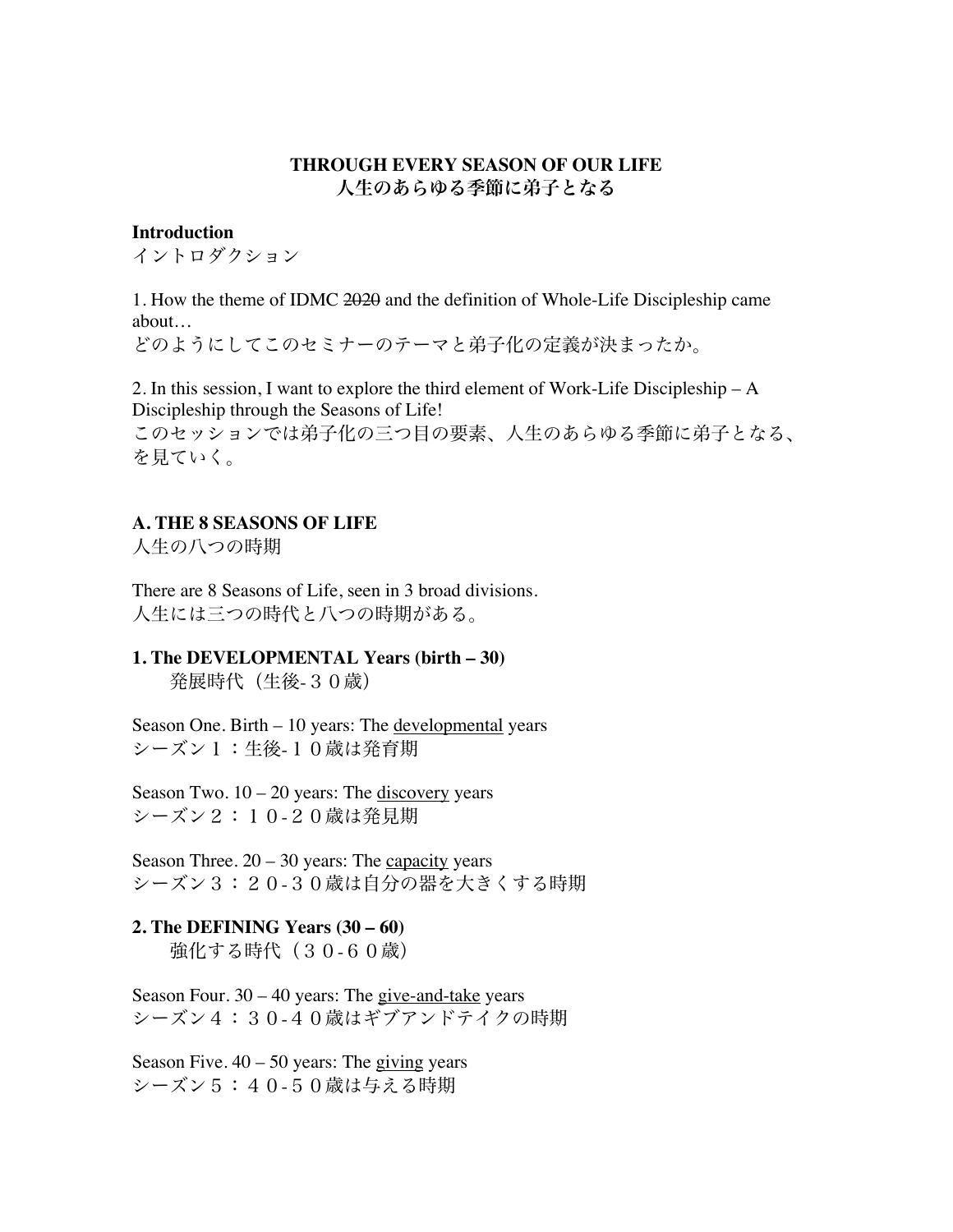## **THROUGH EVERY SEASON OF OUR LIFE** 人生のあらゆる季節に弟子となる

#### **Introduction**

イントロダクション

1. How the theme of IDMC 2020 and the definition of Whole-Life Discipleship came about…

どのようにしてこのセミナーのテーマと弟子化の定義が決まったか。

2. In this session, I want to explore the third element of Work-Life Discipleship – A Discipleship through the Seasons of Life!

このセッションでは弟子化の三つ目の要素、人生のあらゆる季節に弟子となる、 を見ていく。

## **A. THE 8 SEASONS OF LIFE**

人生の八つの時期

There are 8 Seasons of Life, seen in 3 broad divisions. 人生には三つの時代と八つの時期がある。

## **1. The DEVELOPMENTAL Years (birth – 30)** 発展時代(生後-30歳)

Season One. Birth – 10 years: The developmental years シーズン1:生後-10歳は発育期

Season Two.  $10 - 20$  years: The discovery years シーズン2:10-20歳は発見期

Season Three.  $20 - 30$  years: The capacity years シーズン3:20-30歳は自分の器を大きくする時期

# **2. The DEFINING Years (30 – 60)**

強化する時代 (30-60歳)

Season Four.  $30 - 40$  years: The give-and-take years シーズン4:30-40歳はギブアンドテイクの時期

Season Five.  $40 - 50$  years: The giving years シーズン5:40-50歳は与える時期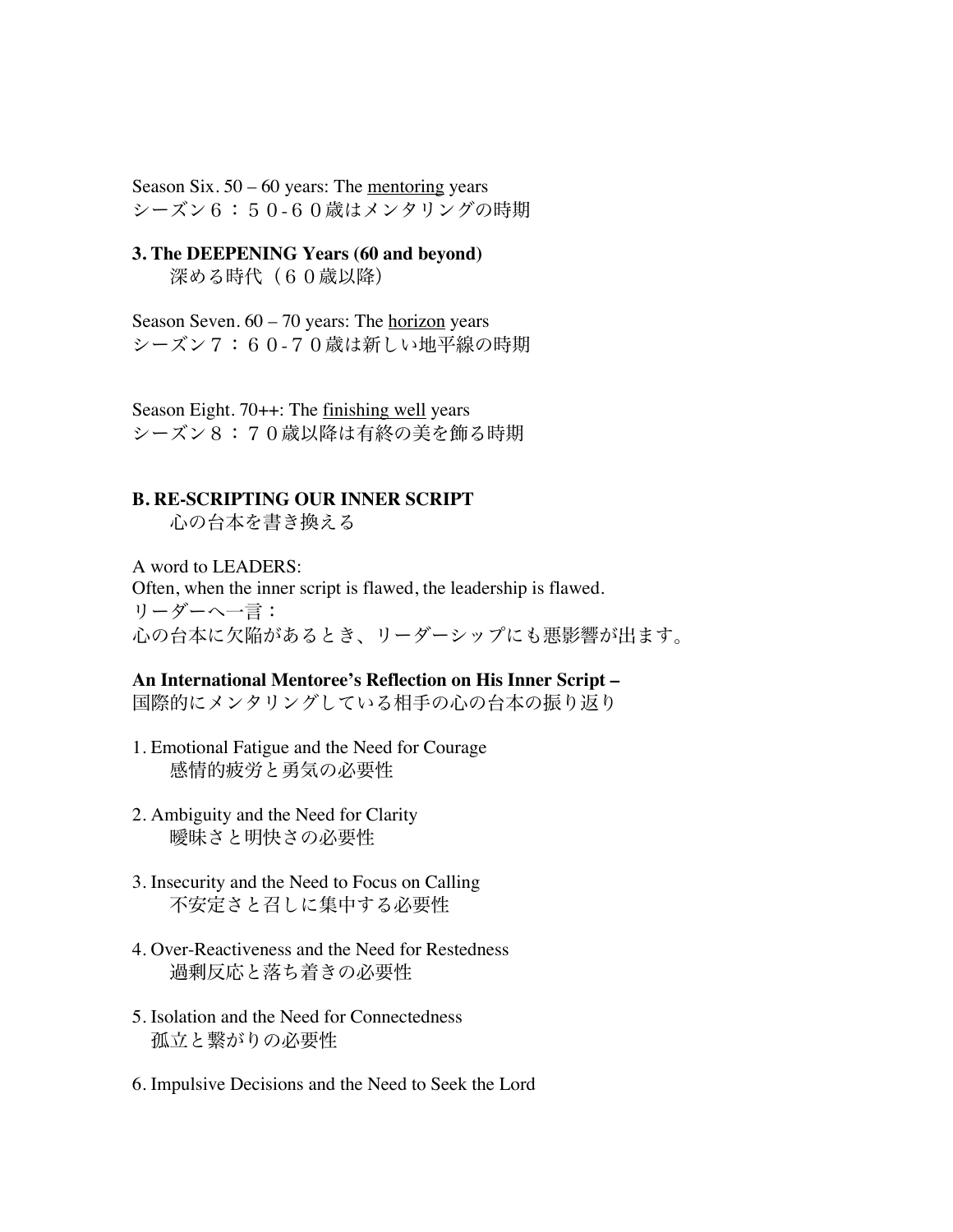Season Six.  $50 - 60$  years: The <u>mentoring</u> years シーズン6:50-60歳はメンタリングの時期

## **3. The DEEPENING Years (60 and beyond)** 深める時代 (60歳以降)

Season Seven. 60 – 70 years: The horizon years シーズン7:60-70歳は新しい地平線の時期

Season Eight. 70++: The finishing well years シーズン8:70歳以降は有終の美を飾る時期

## **B. RE-SCRIPTING OUR INNER SCRIPT**

心の台本を書き換える

A word to LEADERS: Often, when the inner script is flawed, the leadership is flawed. リーダーへ一言: 心の台本に欠陥があるとき、リーダーシップにも悪影響が出ます。

#### **An International Mentoree's Reflection on His Inner Script –**

国際的にメンタリングしている相手の心の台本の振り返り

- 1. Emotional Fatigue and the Need for Courage 感情的疲労と勇気の必要性
- 2. Ambiguity and the Need for Clarity 曖昧さと明快さの必要性
- 3. Insecurity and the Need to Focus on Calling 不安定さと召しに集中する必要性
- 4. Over-Reactiveness and the Need for Restedness 過剰反応と落ち着きの必要性
- 5. Isolation and the Need for Connectedness 孤立と繋がりの必要性
- 6. Impulsive Decisions and the Need to Seek the Lord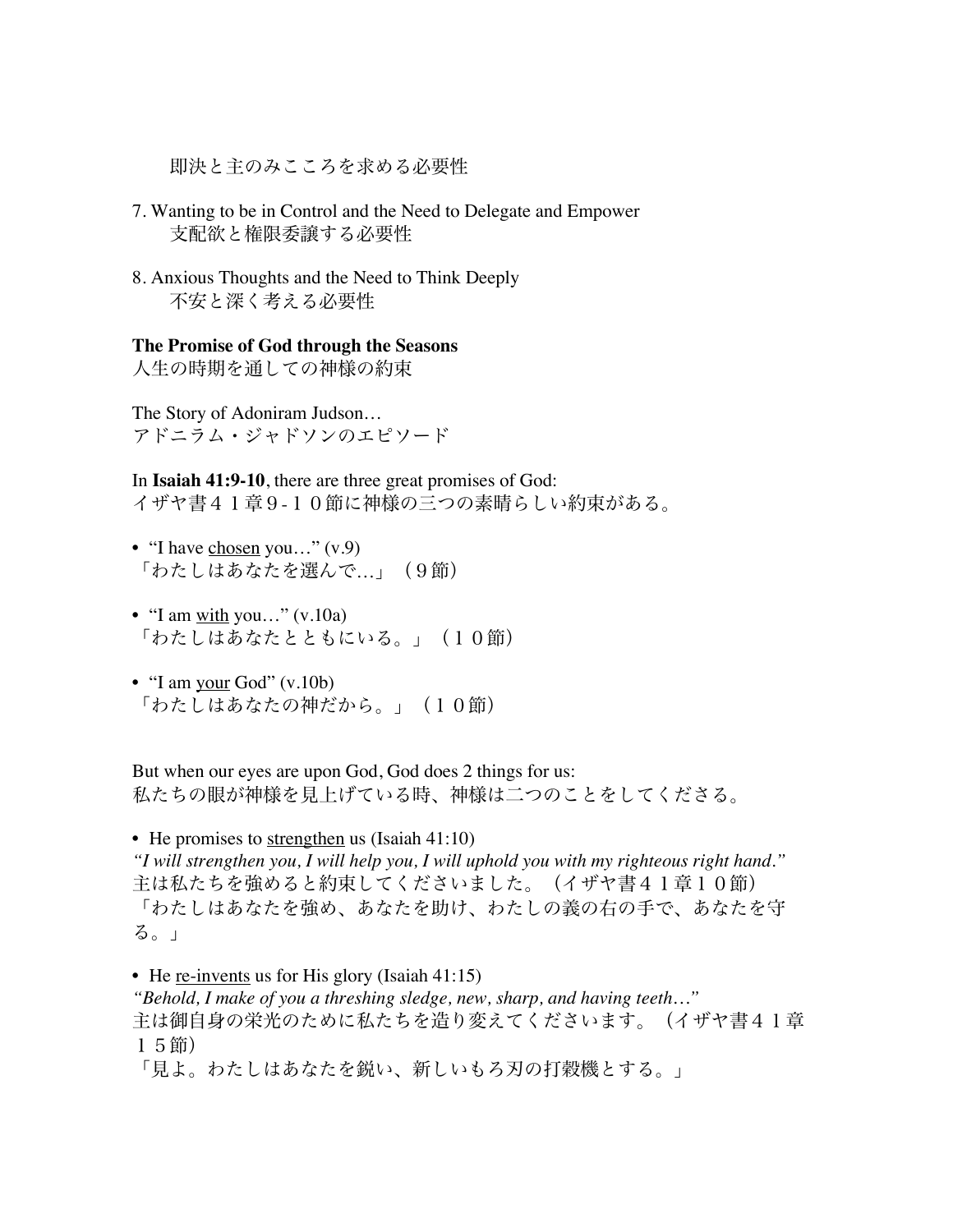即決と主のみこころを求める必要性

- 7. Wanting to be in Control and the Need to Delegate and Empower 支配欲と権限委譲する必要性
- 8. Anxious Thoughts and the Need to Think Deeply 不安と深く考える必要性

**The Promise of God through the Seasons**

人生の時期を通しての神様の約束

The Story of Adoniram Judson… アドニラム・ジャドソンのエピソード

In **Isaiah 41:9-10**, there are three great promises of God: イザヤ書41章9-10節に神様の三つの素晴らしい約束がある。

- "I have chosen you..."  $(v.9)$ 「わたしはあなたを選んで…」(9節)
- "I am  $\frac{\text{with}}{\text{you...}}$ " (v.10a) 「わたしはあなたとともにいる。」(10節)
- "I am your God" (v.10b) 「わたしはあなたの神だから。」(10節)

But when our eyes are upon God, God does 2 things for us: 私たちの眼が神様を見上げている時、神様は二つのことをしてくださる。

• He promises to strengthen us (Isaiah 41:10) *"I will strengthen you, I will help you, I will uphold you with my righteous right hand."* 主は私たちを強めると約束してくださいました。(イザヤ書41章10節) 「わたしはあなたを強め、あなたを助け、わたしの義の右の手で、あなたを守 る。」

• He re-invents us for His glory (Isaiah 41:15) *"Behold, I make of you a threshing sledge, new, sharp, and having teeth…"* 主は御自身の栄光のために私たちを造り変えてくださいます。(イザヤ書41章 15節) 「見よ。わたしはあなたを鋭い、新しいもろ刃の打穀機とする。」